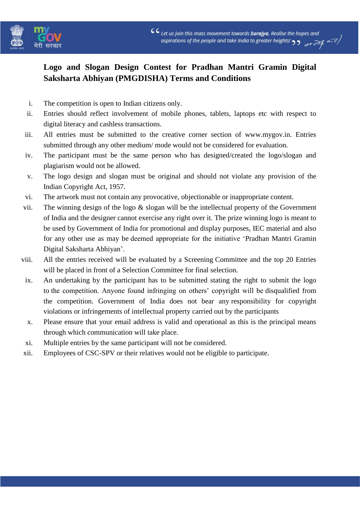

# **Logo and Slogan Design Contest for Pradhan Mantri Gramin Digital Saksharta Abhiyan (PMGDISHA) Terms and Conditions**

- i. The competition is open to Indian citizens only.
- ii. Entries should reflect involvement of mobile phones, tablets, laptops etc with respect to digital literacy and cashless transactions.
- iii. All entries must be submitted to the creative corner section of www.mygov.in. Entries submitted through any other medium/ mode would not be considered for evaluation.
- iv. The participant must be the same person who has designed/created the logo/slogan and plagiarism would not be allowed.
- v. The logo design and slogan must be original and should not violate any provision of the Indian Copyright Act, 1957.
- vi. The artwork must not contain any provocative, objectionable or inappropriate content.
- vii. The winning design of the logo  $\&$  slogan will be the intellectual property of the Government of India and the designer cannot exercise any right over it. The prize winning logo is meant to be used by Government of India for promotional and display purposes, IEC material and also for any other use as may be deemed appropriate for the initiative 'Pradhan Mantri Gramin Digital Saksharta Abhiyan'.
- viii. All the entries received will be evaluated by a Screening Committee and the top 20 Entries will be placed in front of a Selection Committee for final selection.
- ix. An undertaking by the participant has to be submitted stating the right to submit the logo to the competition. Anyone found infringing on others' copyright will be disqualified from the competition. Government of India does not bear any responsibility for copyright violations or infringements of intellectual property carried out by the participants
- x. Please ensure that your email address is valid and operational as this is the principal means through which communication will take place.
- xi. Multiple entries by the same participant will not be considered.
- xii. Employees of CSC-SPV or their relatives would not be eligible to participate.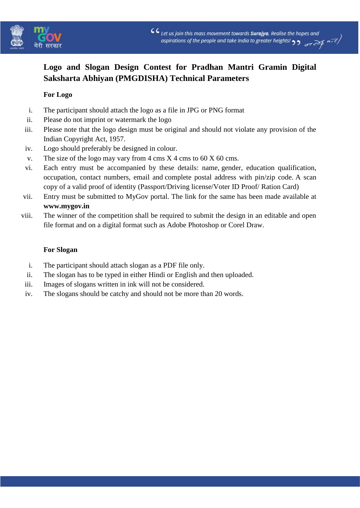

# **Logo and Slogan Design Contest for Pradhan Mantri Gramin Digital Saksharta Abhiyan (PMGDISHA) Technical Parameters**

### **For Logo**

- i. The participant should attach the logo as a file in JPG or PNG format
- ii. Please do not imprint or watermark the logo
- iii. Please note that the logo design must be original and should not violate any provision of the Indian Copyright Act, 1957.
- iv. Logo should preferably be designed in colour.
- v. The size of the logo may vary from  $4 \text{ cm} s \text{ X } 4 \text{ cm} s$  to  $60 \text{ X } 60 \text{ cm} s$ .
- vi. Each entry must be accompanied by these details: name, gender, education qualification, occupation, contact numbers, email and complete postal address with pin/zip code. A scan copy of a valid proof of identity (Passport/Driving license/Voter ID Proof/ Ration Card)
- vii. Entry must be submitted to MyGov portal. The link for the same has been made available at **[www.mygov.in](http://www.mygov.in/)**
- viii. The winner of the competition shall be required to submit the design in an editable and open file format and on a digital format such as Adobe Photoshop or Corel Draw.

#### **For Slogan**

- i. The participant should attach slogan as a PDF file only.
- ii. The slogan has to be typed in either Hindi or English and then uploaded.
- iii. Images of slogans written in ink will not be considered.
- iv. The slogans should be catchy and should not be more than 20 words.